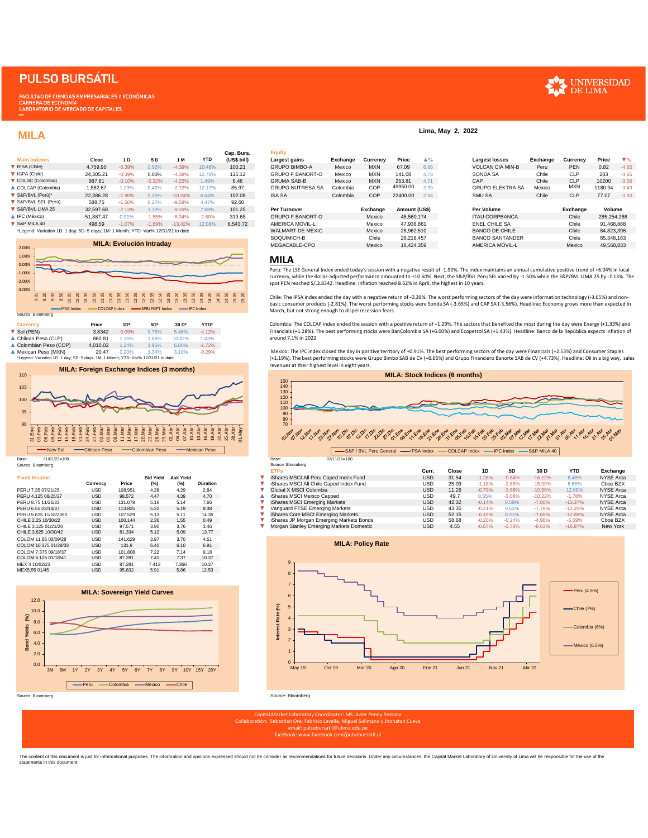# **PULSO BURSÁTIL**

FACULTAD DE CIENCIAS EMPRESARIALES Y ECONÓMICAS **CARRERA DE ECONOMÍA LABORATORIO DE MERCADO DE CAPITALES** 

**Lima, May 2, 2022**

| <b>Currency</b>                                                                   | <b>Price</b> | $1D^*$    | $5D^*$   | $30D^*$   | YTD*     |
|-----------------------------------------------------------------------------------|--------------|-----------|----------|-----------|----------|
| Sol (PEN)                                                                         | 3.8342       | $-0.09\%$ | 0.75%    | 5.48%     | $-4.12%$ |
| ▲ Chilean Peso (CLP)                                                              | 860.81       | 1.15%     | 1.88%    | $10.02\%$ | 1.03%    |
| Colombian Peso (COP)                                                              | 4,010.02     | $1.24\%$  | $1.95\%$ | 6.80%     | $-1.72%$ |
| ▲ Mexican Peso (MXN)                                                              | 20.47        | $0.20\%$  | $1.34\%$ | 3.10%     | $-0.29%$ |
| *Legend: Variation 1D: 1 day; 5D: 5 days, 1M: 1 Month; YTD: Var% 12/31/21 to date |              |           |          |           |          |

|                       |              |          |          |           |            | Cap. Burs.  | Equity                  |                 |                 |               |               |                         |                 |                 |              |
|-----------------------|--------------|----------|----------|-----------|------------|-------------|-------------------------|-----------------|-----------------|---------------|---------------|-------------------------|-----------------|-----------------|--------------|
| <b>Main Indexes</b>   | <b>Close</b> | 1 D      | 5 D      | 1 M       | <b>YTD</b> | (US\$ bill) | Largest gains           | <b>Exchange</b> | <b>Currency</b> | <b>Price</b>  | $\triangle$ % | Largest losses          | <b>Exchange</b> | <b>Currency</b> | <b>Price</b> |
| <b>V</b> IPSA (Chile) | 4,759.90     | $-0.39%$ | $0.02\%$ | $-4.39%$  | 10.48%     | 100.21      | <b>GRUPO BIMBO-A</b>    | Mexico          | <b>MXN</b>      | 67.09         | 6.66          | <b>VOLCAN CIA MIN-B</b> | Peru            | <b>PEN</b>      | 0.82         |
| ▼ IGPA (Chile)        | 24,305.21    | $-0.39%$ | 0.00%    | $-4.38%$  | 12.70%     | 115.12      | <b>GRUPO F BANORT-O</b> | Mexico          | <b>MXN</b>      | 141.08        | 4.73          | <b>SONDA SA</b>         | Chile           | <b>CLP</b>      | 283          |
| COLSC (Colombia)      | 987.61       | $-0.10%$ | $-0.32%$ | $-4.25%$  | 1.49%      | 6.46        | <b>GRUMA SAB-B</b>      | Mexico          | <b>MXN</b>      | 253.81        | 4.71          | <b>CAP</b>              | Chile           | <b>CLP</b>      | 10200        |
| COLCAP (Colombia)     | 1,582.67     | .29%     | $0.42\%$ | $-2.72%$  | 12.17%     | 85.97       | <b>GRUPO NUTRESA SA</b> | Colombia        | <b>COP</b>      | 49950.00      | 2.99          | <b>GRUPO ELEKTRA SA</b> | Mexico          | <b>MXN</b>      | 180.94       |
| S&P/BVL (Perú)*       | 22,386.28    | $-1.90%$ | $0.30\%$ | $-10.24%$ | 6.04%      | 102.08      | <b>ISA SA</b>           | Colombia        | <b>COP</b>      | 22400.00      | 2.94          | <b>SMU SA</b>           | Chile           | <b>CLP</b>      | 77.07        |
| S&P/BVL SEL (Perú)    | 588.75       | $-1.50%$ | $0.27\%$ | $-9.58%$  | 4.47%      | 92.60       |                         |                 |                 |               |               |                         |                 |                 |              |
| S&P/BVL LIMA 25       | 32,597.68    | $-2.13%$ | .70%     | $-9.16%$  | 7.68%      | 101.25      | <b>Per Turnover</b>     |                 | <b>Exchange</b> | Amount (US\$) |               | <b>Per Volume</b>       |                 | <b>Exchange</b> | Volume       |
| IPC (México)          | 51,887.47    | $0.91\%$ | $-1.55%$ | $-8.34%$  | $-2.60%$   | 319.68      | <b>GRUPO F BANORT-O</b> |                 | Mexico          | 48,560,174    |               | <b>ITAU CORPBANCA</b>   |                 | Chile           | 285,254,268  |
| S&P MILA 40           | 498.59       | $-1.07%$ |          | $-13.42%$ | 12.08%     | 6,543.72    | <b>AMERICA MOVIL-L</b>  |                 | Mexico          | 47,938,861    |               | <b>ENEL CHILE SA</b>    |                 | Chile           | 91,468,888   |
|                       |              |          |          |           |            |             |                         |                 |                 |               |               |                         |                 |                 |              |

| Oranger Diseastream |                  | Course: Disambers |                |
|---------------------|------------------|-------------------|----------------|
| Base:               | $31/01/22 = 100$ | Base:             | $03/11/21=100$ |

| <b>V</b> IPSA (Chile)                                                             | 4,759.90  | $-0.39\%$                       | $0.02\%$ | $-4.39%$  | 10.48%   | 100.21   | <b>GRUPO BIMBO-A</b>    | Mexico   | <b>MXN</b>      | 67.09         | 6.66 | <b>VOLCAN CIA MIN-B</b> | Peru   | <b>PEN</b>      | 0.82          | $-4.65$ |
|-----------------------------------------------------------------------------------|-----------|---------------------------------|----------|-----------|----------|----------|-------------------------|----------|-----------------|---------------|------|-------------------------|--------|-----------------|---------------|---------|
| ▼ IGPA (Chile)                                                                    | 24,305.21 | $-0.39%$                        | 0.00%    | $-4.38%$  | 12.70%   | 115.12   | <b>GRUPO F BANORT-O</b> | Mexico   | <b>MXN</b>      | 141.08        | 4.73 | <b>SONDA SA</b>         | Chile  | <b>CLP</b>      | 283           | $-3.65$ |
| COLSC (Colombia)                                                                  | 987.61    | $-0.10%$                        | $-0.32%$ | $-4.25%$  | 1.49%    | 6.46     | <b>GRUMA SAB-B</b>      | Mexico   | <b>MXN</b>      | 253.81        | 4.71 | <b>CAP</b>              | Chile  | <b>CLP</b>      | 10200         | $-3.56$ |
| COLCAP (Colombia)                                                                 | 1,582.67  | .29%                            | $0.42\%$ | $-2.72%$  | 12.17%   | 85.97    | <b>GRUPO NUTRESA SA</b> | Colombia | <b>COP</b>      | 49950.00      | 2.99 | <b>GRUPO ELEKTRA SA</b> | Mexico | <b>MXN</b>      | 180.94        | $-3.49$ |
| S&P/BVL (Perú)*                                                                   | 22,386.28 | $-1.90%$                        | 0.30%    | $-10.24%$ | 6.04%    | 102.08   | <b>ISA SA</b>           | Colombia | <b>COP</b>      | 22400.00      | 2.94 | <b>SMU SA</b>           | Chile  | <b>CLP</b>      | 77.07         | $-3.00$ |
| S&P/BVL SEL (Perú)                                                                | 588.75    | $-1.50%$                        | 0.27%    | $-9.58%$  | 4.47%    | 92.60    |                         |          |                 |               |      |                         |        |                 |               |         |
|                                                                                   |           |                                 |          |           |          |          |                         |          |                 |               |      |                         |        |                 |               |         |
| S&P/BVL LIMA 25                                                                   | 32,597.68 | $-2.13%$                        | .70%     | $-9.16%$  | 7.68%    | 101.25   | <b>Per Turnover</b>     |          | <b>Exchange</b> | Amount (US\$) |      | <b>Per Volume</b>       |        | <b>Exchange</b> | <b>Volume</b> |         |
| $\triangle$ IPC (México)                                                          | 51,887.47 | 0.91%                           | $-1.55%$ | $-8.34%$  | $-2.60%$ | 319.68   | <b>GRUPO F BANORT-O</b> |          | Mexico          | 48,560,174    |      | <b>ITAU CORPBANCA</b>   |        | Chile           | 285,254,268   |         |
| S&P MILA 40                                                                       | 498.59    | $-1.07%$                        | $-1.69%$ | $-13.42%$ | 12.08%   | 6,543.72 | <b>AMERICA MOVIL-L</b>  |          | Mexico          | 47,938,861    |      | <b>ENEL CHILE SA</b>    |        | Chile           | 91,468,888    |         |
| *Legend: Variation 1D: 1 day; 5D: 5 days, 1M: 1 Month; YTD: Var% 12/31/21 to date |           |                                 |          |           |          |          | <b>WALMART DE MEXIC</b> |          | Mexico          | 28,962,510    |      | <b>BANCO DE CHILE</b>   |        | Chile           | 84,823,398    |         |
|                                                                                   |           | <b>MILA: Evolución Intraday</b> |          |           |          |          | SOQUIMICH-B             |          | Chile           | 26,218,457    |      | <b>BANCO SANTANDER</b>  |        | Chile           | 65,348,163    |         |

MEX 4 10/02/23 USD 87.281 7.413 7.366 10.37 MEX5.55 01/45 USD 95.832 5.91 5.86 12.53 10.0 12.0 **MILA: Sovereign Yield Curves**

Source: Bloomberg

| Source: Bloomberg     |                 |              |                  |                  |          |  | Source. Dioditiberg                      |            |              |          |                |           |            |                 |
|-----------------------|-----------------|--------------|------------------|------------------|----------|--|------------------------------------------|------------|--------------|----------|----------------|-----------|------------|-----------------|
|                       |                 |              |                  |                  |          |  | <b>ETFs</b>                              | Curr.      | <b>Close</b> | 1D       | 5 <sub>D</sub> | 30 D      | <b>YTD</b> | <b>Exchange</b> |
| <b>Fixed Income</b>   |                 |              | <b>Bid Yield</b> | <b>Ask Yield</b> |          |  | iShares MSCI All Peru Caped Index Fund   | <b>USD</b> | 31.54        | $-1.28%$ | $-0.54%$       | $-16.12%$ | 6.48%      | NYSE Arca       |
|                       | <b>Currency</b> | <b>Price</b> |                  | (%)              | Duration |  | iShares MSCI All Chile Caped Index Fund  | <b>USD</b> | 25.09        | $-1.18%$ | $-2.86%$       | $-15.09%$ | 8.66%      | Cboe BZX        |
| PERU 7.35 07/21/25    | <b>USD</b>      | 108.951      | 4.38             | 4.29             | 2.84     |  | Global X MSCI Colombia                   | <b>USD</b> | 11.26        | $-0.79%$ | $-3.68%$       | $-10.56%$ | 12.68%     | NYSE Arca       |
| PERU 4.125 08/25/27   | <b>USD</b>      | 98.572       | 4.47             | 4.39             | 4.70     |  | iShares MSCI Mexico Capped               | <b>USD</b> | 49.7         | 0.55%    | $-3.08%$       | $-10.22%$ | $-1.78%$   | NYSE Arca       |
| PERU 8.75 11/21/33    | <b>USD</b>      | 131.078      | 5.16             | 5.14             | 7.66     |  | iShares MSCI Emerging Markets            | <b>USD</b> | 42.32        | $-0.14%$ | 0.59%          | $-7.80%$  | $-13.37%$  | NYSE Arca       |
| PERU 6.55 03/14/37    | <b>USD</b>      | 113.825      | 5.22             | 5.19             | 9.38     |  | Vanguard FTSE Emerging Markets           | <b>USD</b> | 43.35        | $-0.21%$ | 0.51%          | $-7.79%$  | $-12.35%$  | NYSE Arca       |
| PERU 5.625 11/18/2050 | <b>USD</b>      | 107.529      | 5.13             | 5.11             | 14.36    |  | iShares Core MSCI Emerging Markets       | <b>USD</b> | 52.15        | $-0.19%$ | 0.21%          | $-7.65%$  | $-12.88%$  | NYSE Arca       |
| CHILE 2.25 10/30/22   | <b>USD</b>      | 100.144      | 2.36             | 1.55             | 0.49     |  | iShares JP Morgan Emerging Markets Bonds | <b>USD</b> | 58.68        | $-0.209$ | $-0.24%$       | $-4.96%$  | $-6.59%$   | Cboe BZX        |
| CHILE 3.125 01/21/26  | <b>USD</b>      | 97.571       | 3.90             | 3.76             | 3.46     |  | Morgan Stanley Emerging Markets Domestic | <b>USD</b> | 4.55         | $-0.87%$ | $-2.78%$       | $-8.63%$  | $-16.97%$  | New York        |

| <b>Fixed Income</b>   |                 |              | <b>Bid Yield</b> | <b>Ask Yield</b> |                 |
|-----------------------|-----------------|--------------|------------------|------------------|-----------------|
|                       | <b>Currency</b> | <b>Price</b> | (%)              | $(\% )$          | <b>Duration</b> |
| PERU 7.35 07/21/25    | USD             | 108.951      | 4.38             | 4.29             | 2.84            |
| PERU 4.125 08/25/27   | <b>USD</b>      | 98.572       | 4.47             | 4.39             | 4.70            |
| PERU 8.75 11/21/33    | <b>USD</b>      | 131.078      | 5.16             | 5.14             | 7.66            |
| PERU 6.55 03/14/37    | <b>USD</b>      | 113.825      | 5.22             | 5.19             | 9.38            |
| PERU 5.625 11/18/2050 | <b>USD</b>      | 107.529      | 5.13             | 5.11             | 14.36           |
| CHILE 2.25 10/30/22   | <b>USD</b>      | 100.144      | 2.36             | 1.55             | 0.49            |
| CHILE 3.125 01/21/26  | <b>USD</b>      | 97.571       | 3.90             | 3.76             | 3.46            |
| CHILE 3.625 10/30/42  | <b>USD</b>      | 81.334       | 5.12             | 5.09             | 13.77           |
| COLOM 11.85 03/09/28  | <b>USD</b>      | 141.629      | 3.97             | 3.70             | 4.51            |
| COLOM 10.375 01/28/33 | <b>USD</b>      | 131.9        | 6.40             | 6.10             | 6.91            |
| COLOM 7.375 09/18/37  | <b>USD</b>      | 101.808      | 7.22             | 7.14             | 9.18            |
| COLOM 6.125 01/18/41  | USD             | 87.281       | 7.41             | 7.37             | 10.37           |
| MEX 4.10/02/23        | LISD            | 87 281       | 7 413            | 7 366            | 1በ 37           |

The content of this document is just for informational purposes. The information and opinions expressed should not be consider as recommendations for future decisions. Under any circumstances, the Capital Market Laboratory statements in this document.

## **MILA**







Source: Bloomberg Source: Bloomberg Source: Bloomberg









 $70<sup>-1</sup>$ 

S&P / BVL Peru General - IPSA Index - COLCAP Index - IPC Index - S&P MILA 40

### **MILA**

Peru: The LSE General Index ended today's session with a negative result of -1.90%. The index maintains an annual cumulative positive trend of +6.04% in local currency, while the dollar-adjusted performance amounted to +10.60%. Next, the S&P/BVL Peru SEL varied by -1.50% while the S&P/BVL LIMA 25 by -2.13%. The spot PEN reached S/.3.8342. Headline: Inflation reached 8.62% in April, the highest in 10 years.

Chile: The IPSA index ended the day with a negative return of -0.39%. The worst performing sectors of the day were information technology (-3.65%) and nonbasic consumer products (-2.81%). The worst performing stocks were Sonda SA (-3.65%) and CAP SA (-3.56%). Headline: Economy grows more than expected in March, but not strong enough to dispel recession fears.

Colombia: The COLCAP index ended the session with a positive return of +1.29%. The sectors that benefited the most during the day were Energy (+1.33%) and Financials (+1.28%). The best performing stocks were BanColombia SA (+6.00%) and Ecopetrol SA (+1.43%). Headline: Banco de la República expects inflation of around 7.1% in 2022.

Mexico: The IPC index closed the day in positive territory of +0.91%. The best performing sectors of the day were Financials (+2.53%) and Consumer Staples (+1.19%). The best performing stocks were Grupo Bimbo SAB de CV (+6.66%) and Grupo Financiero Banorte SAB de CV (+4.73%). Headline: Oil in a big way, sales revenues at their highest level in eight years.

Capital Market Laboratory Coordinator: MS Javier Penny Pestana Collaboration: Sebastian Ore, Fabrizio Lavalle, Miguel Solimano y Jhonatan Cueva email: pulsobursatil@ulima.edu.pe facebook: www.facebook.com/pulsobursatil.ul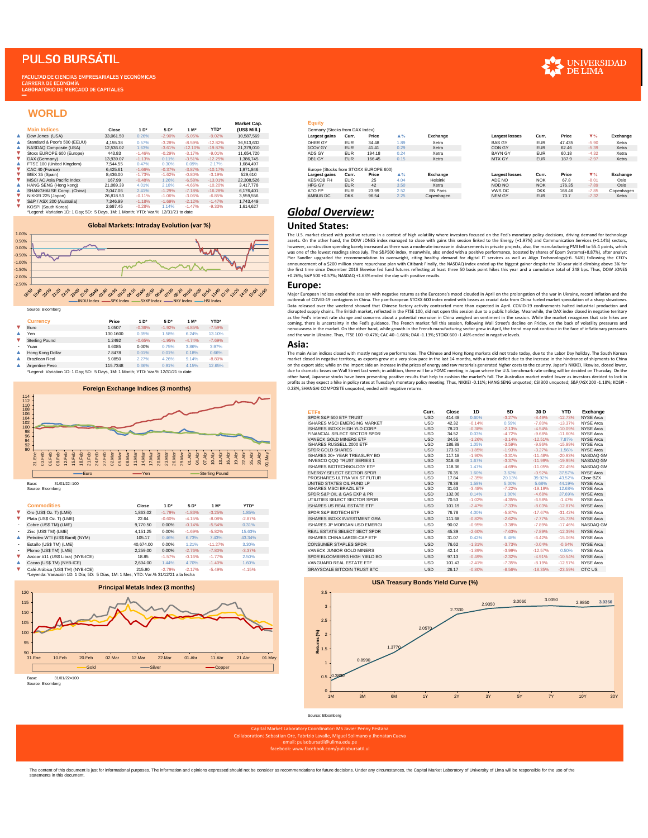# **PULSO BURSÁTIL**

FACULTAD DE CIENCIAS EMPRESARIALES Y ECONÓMICAS **CARRERA DE ECONOMÍA** LABORATORIO DE MERCADO DE CAPITALES

#### **Equity**

\*Legend: Variation 1D: 1 Day; 5D: 5 Days, 1M: 1 Month; YTD: Var.% 12/31/21 to date

| <b>Currency</b>       | <b>Price</b> | $1*$     | $5D^*$   | 1 $M^*$  | YTD*      |
|-----------------------|--------------|----------|----------|----------|-----------|
| Euro                  | 1.0507       | $-0.36%$ | $-1.92%$ | $-4.85%$ | $-7.59\%$ |
| Yen                   | 130.1600     | 0.35%    | 1.58%    | 6.24%    | 13.10%    |
| <b>Sterling Pound</b> | 1.2492       | $-0.65%$ | $-1.95%$ | $-4.74%$ | $-7.69\%$ |
| Yuan                  | 6.6085       | $0.00\%$ | 0.75%    | 3.86%    | 3.97%     |
| Hong Kong Dollar      | 7.8478       | 0.01%    | 0.01%    | 0.18%    | 0.66%     |
| <b>Brazilean Real</b> | 5.0850       | 2.27%    | 4.26%    | 9.14%    | $-8.80\%$ |
| Argentine Peso        | 115.7348     | 0.36%    | 0.91%    | 4.15%    | 12.65%    |
|                       |              |          |          |          |           |

\*Legend: Variation 1D: 1 Day; 5D: 5 Days, 1M: 1 Month; YTD: Var.% 12/31/21 to date

**Germany (Stocks from DAX Index)** 

| Dow Jones (USA)              | 33,061.50 | 0.26%    | $-2.90%$  | $-5.05%$  | $-9.02%$   | 10,587,569 |
|------------------------------|-----------|----------|-----------|-----------|------------|------------|
| Standard & Poor's 500 (EEUU) | 4,155.38  | $0.57\%$ | 3.28%     | $-8.59%$  | $-12.82%$  | 36,513,632 |
| NASDAQ Composite (USA)       | 12,536.02 | 1.63%    | $-3.61%$  | $-12.10%$ | $-19.87%$  | 21,379,010 |
| Stoxx EUROPE 600 (Europe)    | 443.83    | $1.46\%$ | $-0.29\%$ | $-3.17%$  | $-9.01%$   | 11,654,720 |
| DAX (Germany)                | 13,939.07 | 1.13%    | $0.11\%$  | $-3.51%$  | $-12.25%$  | 1,386,745  |
| FTSE 100 (United Kingdom)    | 7,544.55  | 0.47%    | $0.30\%$  | .09%      | 2.17%      | 1,684,497  |
| CAC 40 (France)              | 6,425.61  | $-1.66%$ | $-0.37%$  | $-3.87%$  | $-10.17\%$ | 1,971,846  |
| IBEX 35 (Spain)              | 8,436.00  | $-1.73%$ | $-1.62%$  | $-0.80%$  | $-3.19%$   | 529,610    |
| MSCI AC Asia Pacific Index   | 167.99    | $-0.48%$ | .26%      | $-6.58%$  | $-13.01%$  | 22,308,526 |
| HANG SENG (Hong kong)        | 21,089.39 | 4.01%    | 2.18%     | $-4.66%$  | $-10.20%$  | 3,417,778  |
| SHANGHAI SE Comp. (China)    | 3,047.06  | 2.41%    | $-1.29%$  | $-7.18%$  | $-16.28%$  | 6,176,401  |
| NIKKEI 225 (Japon)           | 26,818.53 | $-0.11%$ | -1.06%    | -3.06%    | $-6.85%$   | 3,559,556  |

|                                   |              |          |                                   |           |           | <b>Market Cap.</b> | Equity                                |            |                 |                    |                 |                       |            |              |             |               |
|-----------------------------------|--------------|----------|-----------------------------------|-----------|-----------|--------------------|---------------------------------------|------------|-----------------|--------------------|-----------------|-----------------------|------------|--------------|-------------|---------------|
| <b>Main Indices</b>               | <b>Close</b> | $1D^*$   | $5D^*$                            | 1 $M^*$   | YTD*      | (US\$ Mill.)       | Germany (Stocks from DAX Index)       |            |                 |                    |                 |                       |            |              |             |               |
| Dow Jones (USA)                   | 33,061.50    | 0.26%    | $-2.90%$                          | $-5.05%$  | $-9.02\%$ | 10,587,569         | <b>Largest gains</b>                  | Curr.      | <b>Price</b>    | $\blacktriangle$ % | <b>Exchange</b> | <b>Largest losses</b> | Curr.      | <b>Price</b> | $\nabla \%$ | Exchan        |
| Standard & Poor's 500 (EEUU)      | 4,155.38     | 0.57%    | $-3.28%$                          | $-8.59%$  | $-12.82%$ | 36,513,632         | <b>DHER GY</b>                        | <b>EUR</b> | 34.48           | 1.89               | Xetra           | <b>BAS GY</b>         | <b>EUR</b> | 47.435       | $-5.90$     | Xetra         |
| NASDAQ Composite (USA)            | 12,536.02    | 1.63%    | $-3.61%$                          | $-12.10%$ | $-19.87%$ | 21,379,010         | 1COV GY                               | <b>EUR</b> | 41.41           | 0.29               | Xetra           | <b>CON GY</b>         | <b>EUR</b> | 62.46        | $-5.39$     | Xetra         |
| Stoxx EUROPE 600 (Europe)         | 443.83       | $-1.46%$ | $-0.29%$                          | $-3.17%$  | $-9.01%$  | 11,654,720         | ADS GY                                | <b>EUR</b> | 194.18          | 0.24               | Xetra           | <b>BAYN GY</b>        | <b>EUR</b> | 60.18        | $-4.32$     | Xetra         |
| DAX (Germany)                     | 13,939.07    | $-1.13%$ | 0.11%                             | $-3.51%$  | $-12.25%$ | 1,386,745          | DB1 GY                                | <b>EUR</b> | 166.45          | 0.15               | Xetra           | MTX GY                | <b>EUR</b> | 187.9        | $-2.97$     | Xetra         |
| FTSE 100 (United Kingdom)         | 7,544.55     | 0.47%    | 0.30%                             | 0.09%     | 2.17%     | 1,684,497          |                                       |            |                 |                    |                 |                       |            |              |             |               |
| CAC 40 (France)                   | 6,425.61     | $-1.66%$ | $-0.37%$                          | $-3.87%$  | $-10.17%$ | 1,971,846          | Europe (Stocks from STOXX EUROPE 600) |            |                 |                    |                 |                       |            |              |             |               |
| IBEX 35 (Spain)                   | 8,436.00     | $-1.73%$ | $-1.62%$                          | $-0.80%$  | $-3.19%$  | 529,610            | <b>Largest gains</b>                  | Curr.      | <b>Price</b>    | $\triangle$ %      | <b>Exchange</b> | Largest losses        | Curr.      | <b>Price</b> | $\nabla \%$ | <b>Exchan</b> |
| <b>MSCI AC Asia Pacific Index</b> | 167.99       | $-0.48%$ | 1.26%                             | $-6.58%$  | $-13.01%$ | 22,308,526         | <b>KESKOB FH</b>                      | <b>EUR</b> | 25 <sub>2</sub> | 4.04               | Helsinki        | ADE NO                | <b>NOK</b> | 67.8         | $-8.01$     | Oslo          |
| HANG SENG (Hong kong)             | 21,089.39    | 4.01%    | 2.18%                             | $-4.66%$  | $-10.20%$ | 3,417,778          | HFG GY                                | <b>EUR</b> | 42              | 3.50               | Xetra           | <b>NOD NO</b>         | <b>NOK</b> | 176.35       | $-7.89$     | Oslo          |
| SHANGHAI SE Comp. (China)         | 3,047.06     | 2.41%    | $-1.29%$                          | $-7.18%$  | $-16.28%$ | 6,176,401          | ATO FP                                | <b>EUR</b> | 23.99           | 2.52               | <b>EN Paris</b> | VWS DC                | <b>DKK</b> | 168.46       | $-7.85$     | Copenha       |
| NIKKEI 225 (Japon)                | 26,818.53    | $-0.11%$ | $-1.06%$                          | $-3.06%$  | $-6.85%$  | 3,559,556          | AMBUB DC                              | <b>DKK</b> | 96.54           | 2.25               | Copenhagen      | <b>NEM GY</b>         | <b>EUR</b> | 70.7         | $-7.32$     | Xetra         |
| S&P / ASX 200 (Australia)         | 7,346.99     | $-1.18%$ | $-1.69%$                          | $-2.12%$  | $-1.47%$  | 1,743,449          |                                       |            |                 |                    |                 |                       |            |              |             |               |
| KOSPI (South Korea)               | 2,687.45     | $-0.28%$ | 1.14%                             | $-1.47%$  | $-9.33%$  | 1,614,627          | $C$ lahal Ouarviauu                   |            |                 |                    |                 |                       |            |              |             |               |
|                                   |              |          | $A \cap A$ $A \cap A$ $A - A - A$ |           |           |                    |                                       |            |                 |                    |                 |                       |            |              |             |               |

| 108<br>106                                                                       |                                                |                                      |                      |                                                          |          |
|----------------------------------------------------------------------------------|------------------------------------------------|--------------------------------------|----------------------|----------------------------------------------------------|----------|
| 104                                                                              |                                                |                                      |                      |                                                          |          |
| 102                                                                              |                                                |                                      |                      |                                                          |          |
| 100                                                                              |                                                |                                      |                      |                                                          |          |
| 98<br>96                                                                         |                                                |                                      |                      |                                                          |          |
| 94                                                                               |                                                |                                      |                      |                                                          |          |
| 92                                                                               |                                                |                                      |                      |                                                          |          |
| 90                                                                               |                                                |                                      |                      |                                                          |          |
| 15.Feb<br>18.Feb<br>21.Feb<br>24.Feb<br>27.Feb<br>Feb<br>06.Feb<br>02.Mar<br>Ene | 08.Mar<br>14.Mar<br>17.Mar<br>05.Mar<br>11.Mar | 20.Mar<br>23.Mar<br>26.Mar<br>29.Mar |                      | $\overline{AB}$<br>$\overline{4}$<br><b>Ab</b>           | 01.May   |
| $\overline{2}$ .                                                                 |                                                |                                      | $5\overline{a}$<br>ਣ | $\frac{1}{2}$<br>$\epsilon$<br>$\frac{1}{2}$<br>$\delta$ | ္ဘာ      |
|                                                                                  |                                                |                                      |                      |                                                          |          |
| ——Euro                                                                           | Yen                                            |                                      |                      | Sterling Pound                                           |          |
|                                                                                  |                                                |                                      |                      |                                                          |          |
| $31/01/22 = 100$<br>Base:                                                        |                                                |                                      |                      |                                                          |          |
| Source: Bloomberg                                                                |                                                |                                      |                      |                                                          |          |
|                                                                                  |                                                |                                      |                      |                                                          |          |
|                                                                                  |                                                |                                      |                      |                                                          |          |
| <b>Commodities</b>                                                               | <b>Close</b>                                   | $1D^*$                               | $5D^*$               | 1 $M^*$                                                  | YTD*     |
| Oro (US\$ Oz. T) (LME)                                                           | 1,863.02                                       | $-1.79%$                             | $-1.83%$             | $-3.25%$                                                 | 1.85%    |
| Plata (US\$ Oz. T) (LME)                                                         | 22.64                                          | $-0.60%$                             | $-4.15%$             | $-8.08%$                                                 | $-2.87%$ |
| Cobre (US\$ TM) (LME)                                                            | 9,770.50                                       | 0.00%                                | $-0.14%$             | $-5.54%$                                                 | 0.31%    |
| Zinc (US\$ TM) (LME)                                                             | 4,151.25                                       | 0.00%                                | $-1.69%$             | $-5.82%$                                                 | 15.63%   |
| Petroleo WTI (US\$ Barril) (NYM)                                                 | 105.17                                         | 0.46%                                | 6.73%                | 7.43%                                                    | 43.34%   |
| Estaño (US\$ TM) (LME)                                                           | 40,674.00                                      | 0.00%                                | 1.21%                | $-11.27%$                                                | 3.30%    |
| Plomo (US\$ TM) (LME)                                                            | 2,259.00                                       | 0.00%                                | $-2.76%$             | $-7.80%$                                                 | $-3.37%$ |
|                                                                                  |                                                |                                      |                      |                                                          |          |
| Azúcar #11 (US\$ Libra) (NYB-ICE)                                                | 18.85                                          | $-1.57%$                             | $-0.16%$             | $-1.77%$                                                 | 2.50%    |
| Cacao (US\$ TM) (NYB-ICE)                                                        | 2,604.00                                       | 1.44%                                | 4.70%                | $-1.40%$                                                 | 1.60%    |
| Café Arábica (US\$ TM) (NYB-ICE)                                                 | 215.90                                         | $-2.79%$                             | $-2.17%$             | $-5.49%$                                                 | $-4.15%$ |
|                                                                                  |                                                | $0/01/10/01=1$                       |                      |                                                          |          |



Source: Bloomberg

|                      | <b>Commodities</b>                                                                                                       | <b>Close</b> | 1 D <sup>*</sup> | $5D^*$    | 1 $M^*$    | YTD*      |
|----------------------|--------------------------------------------------------------------------------------------------------------------------|--------------|------------------|-----------|------------|-----------|
| V                    | Oro (US\$ Oz. T) (LME)                                                                                                   | 1,863.02     | $-1.79%$         | $-1.83%$  | $-3.25%$   | 1.85%     |
| $\blacktriangledown$ | Plata (US\$ Oz. T) (LME)                                                                                                 | 22.64        | $-0.60%$         | $-4.15%$  | $-8.08%$   | $-2.87%$  |
| $\blacksquare$       | Cobre (US\$ TM) (LME)                                                                                                    | 9,770.50     | $0.00\%$         | $-0.14%$  | $-5.54%$   | 0.31%     |
| $\blacksquare$       | Zinc (US\$ TM) (LME)                                                                                                     | 4,151.25     | $0.00\%$         | $-1.69\%$ | $-5.82%$   | 15.63%    |
| Δ                    | Petroleo WTI (US\$ Barril) (NYM)                                                                                         | 105.17       | 0.46%            | 6.73%     | 7.43%      | 43.34%    |
| $\blacksquare$       | Estaño (US\$ TM) (LME)                                                                                                   | 40,674.00    | 0.00%            | 1.21%     | $-11.27\%$ | 3.30%     |
| $\blacksquare$       | Plomo (US\$ TM) (LME)                                                                                                    | 2,259.00     | $0.00\%$         | $-2.76%$  | $-7.80\%$  | $-3.37\%$ |
| V                    | Azúcar #11 (US\$ Libra) (NYB-ICE)                                                                                        | 18.85        | $-1.57\%$        | $-0.16%$  | $-1.77\%$  | 2.50%     |
| ▲                    | Cacao (US\$ TM) (NYB-ICE)                                                                                                | 2,604.00     | 1.44%            | 4.70%     | $-1.40%$   | 1.60%     |
| V                    | Café Arábica (US\$ TM) (NYB-ICE)<br>*Leyenda: Variación 1D: 1 Día; 5D: 5 Días, 1M: 1 Mes; YTD: Var.% 31/12/21 a la fecha | 215.90       | $-2.79%$         | $-2.17\%$ | $-5.49%$   | $-4.15%$  |

Source: Bloomberg

## **WORLD**



Base: 31/01/22=100 Source: Bloomberg





**Foreign Exchange Indices (3 months)**

| Source: Bloomberg |  |  |  |
|-------------------|--|--|--|
|                   |  |  |  |



## *Global Overview:*

#### **United States:**

The U.S. market closed with positive returns in a context of high volatility where investors focused on the Fed's monetary policy decisions, driving demand for technology assets. On the other hand, the DOW JONES index managed to close with gains this session linked to the Energy (+1.97%) and Communication Services (+1.14%) sectors, however, construction spending barely increased as there was a moderate increase in disbursements in private projects, also, the manufacturing PMI fell to 55.4 points, which was one of the lowest readings since July. The S&P500 index, meanwhile, also ended with a positive performance, boosted by shares of Epam Systems(+8.87%), after analyst Pier Sandler upgraded the recommendation to overweight, citing healthy demand for digital IT services as well as Align Techonology(+6. 54%) following the CEO's announcement of a \$200 million share repurchase plan with Citibank Finally, the NASDAQ index ended up the biggest gainer despite the 10-year yield climbing above 3% for the first time since December 2018 likewise fed fund futures reflecting at least three 50 basis point hikes this year and a cumulative total of 248 bps. Thus, DOW JONES +0.26%; S&P 500 +0.57%; NASDAQ +1.63% ended the day with positive results.

### **Europe:**

Major European indices ended the session with negative returns as the Eurozone's mood clouded in April on the prolongation of the war in Ukraine, record inflation and the outbreak of COVID-19 contagions in China. The pan-European STOXX 600 index ended with losses as crucial data from China fueled market speculation of a sharp slowdown. Data released over the weekend showed that Chinese factory activity contracted more than expected in April. COVID-19 confinements halted industrial production and disrupted supply chains. The British market, reflected in the FTSE 100, did not open this session due to a public holiday. Meanwhile, the DAX index closed in negative territory as the Fed's interest rate change and concerns about a potential recession in China weighed on sentiment in the session. While the market recognizes that rate hikes are coming, there is uncertainty in the Fed's guidance. The French market fell this session, following Wall Street's decline on Friday, on the back of volatility pressures and nervousness in the market. On the other hand, while growth in the French manufacturing sector grew in April, the trend may not continue in the face of inflationary pressures and the war in Ukraine. Thus, FTSE 100 +0.47%; CAC 40 -1.66%; DAX -1.13%; STOXX 600 -1.46% ended in negative levels.

#### **Asia:**

The main Asian indices closed with mostly negative performances. The Chinese and Hong Kong markets did not trade today, due to the Labor Day holiday. The South Korean market closed in negative territory, as exports grew at a very slow pace in the last 14 months, with a trade deficit due to the increase in the hindrance of shipments to China on the export side; while on the import side an increase in the prices of energy and raw materials generated higher costs to the country. Japan's NIKKEI, likewise, closed lower, due to dramatic losses on Wall Street last week; in addition, there will be a FOMC meeting in Japan where the U.S. benchmark rate ceiling will be decided on Thursday. On the other hand, Japanese stocks have been presenting positive results that help to cushion the market's fall. The Australian market ended lower as investors decided to lock in profits as they expect a hike in policy rates at Tuesday's monetary policy meeting. Thus, NIKKEI -0.11%; HANG SENG unquoted; CSI 300 unquoted; S&P/ASX 200 -1.18%; KOSPI -0.28%, SHANGAI COMPOSITE unquoted, ended with negative returns.



Capital Market Laboratory Coordinator: MS Javier Penny Pestana Collaboration: Sebastian Ore, Fabrizio Lavalle, Miguel Solimano y Jhonatan Cueva email: pulsobursatil@ulima.edu.pe facebook: www.facebook.com/pulsobursatil.ul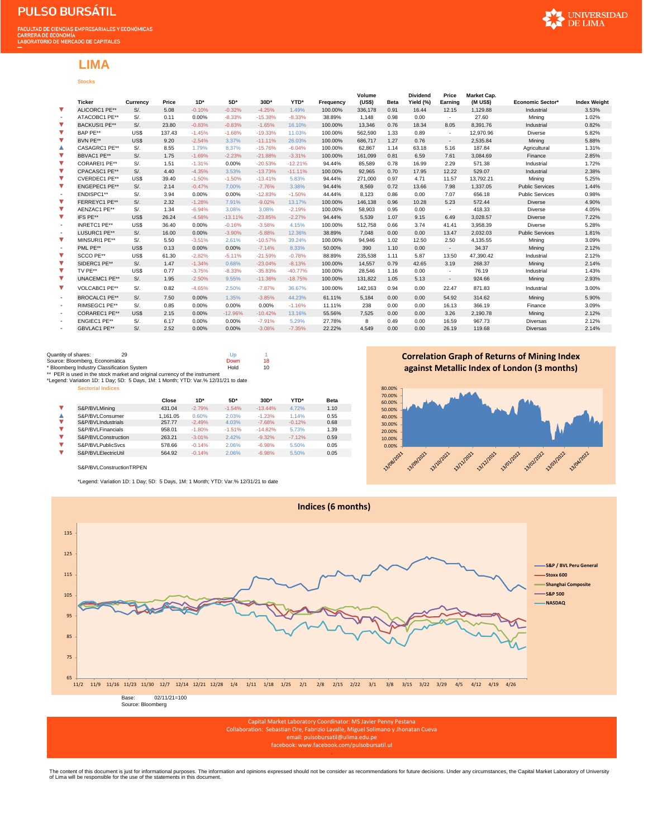# **PULSO BURSÁTIL**

FACULTAD DE CIENCIAS EMPRESARIALES Y ECONÓMICAS **CARRERA DE ECONOMÍA** LABORATORIO DE MERCADO DE CAPITALES

#### **Stocks**

|                          | <b>Ticker</b>        | <b>Currency</b> | <b>Price</b> | $1D^*$   | $5D*$     | 30D*      | YTD*      | <b>Frequency</b> | <b>Volume</b><br>(US\$) | <b>Beta</b> | <b>Dividend</b><br>Yield (%) | <b>Price</b><br>Earning | <b>Market Cap.</b><br>(M US\$) | <b>Economic Sector*</b> | <b>Index Weight</b> |
|--------------------------|----------------------|-----------------|--------------|----------|-----------|-----------|-----------|------------------|-------------------------|-------------|------------------------------|-------------------------|--------------------------------|-------------------------|---------------------|
| $\blacktriangledown$     | ALICORC1 PE**        | $S/$ .          | 5.08         | $-0.10%$ | $-0.32%$  | $-4.25%$  | 1.49%     | 100.00%          | 336,178                 | 0.91        | 16.44                        | 12.15                   | 1,129.88                       | Industrial              | 3.53%               |
|                          | ATACOBC1 PE**        | $S/$ .          | 0.11         | 0.00%    | $-8.33%$  | $-15.38%$ | $-8.33%$  | 38.89%           | 1,148                   | 0.98        | 0.00                         | $\sim$                  | 27.60                          | Mining                  | 1.02%               |
| $\blacktriangledown$     | <b>BACKUSI1 PE**</b> | $S/$ .          | 23.80        | $-0.83%$ | $-0.83%$  | $-1.65%$  | 16.10%    | 100.00%          | 13,346                  | 0.76        | 18.34                        | 8.05                    | 8,391.76                       | Industrial              | 0.82%               |
|                          | BAP PE**             | US\$            | 137.43       | $-1.45%$ | $-1.68%$  | $-19.33%$ | 11.03%    | 100.00%          | 562,590                 | 1.33        | 0.89                         | $\sim$                  | 12,970.96                      | <b>Diverse</b>          | 5.82%               |
|                          | BVN PE**             | US\$            | 9.20         | $-2.54%$ | 3.37%     | $-11.11%$ | 26.03%    | 100.00%          | 686,717                 | 1.27        | 0.76                         | $\sim$ $-$              | 2,535.84                       | Mining                  | 5.88%               |
|                          | CASAGRC1 PE**        | $S/$ .          | 8.55         | 1.79%    | 8.37%     | $-15.76%$ | $-6.04%$  | 100.00%          | 62,867                  | 1.14        | 63.18                        | 5.16                    | 187.84                         | Agricultural            | 1.31%               |
|                          | <b>BBVAC1 PE**</b>   | $S/$ .          | 1.75         | $-1.69%$ | $-2.23%$  | $-21.88%$ | $-3.31%$  | 100.00%          | 161,099                 | 0.81        | 6.59                         | 7.61                    | 3,084.69                       | Finance                 | 2.85%               |
| V                        | <b>CORAREI1 PE**</b> | $S/$ .          | 1.51         | $-1.31%$ | 0.00%     | $-20.53%$ | $-12.21%$ | 94.44%           | 85,589                  | 0.78        | 16.99                        | 2.29                    | 571.38                         | Industrial              | 1.72%               |
|                          | CPACASC1 PE**        | $S/$ .          | 4.40         | $-4.35%$ | 3.53%     | $-13.73%$ | $-11.11%$ | 100.00%          | 92,965                  | 0.70        | 17.95                        | 12.22                   | 529.07                         | Industrial              | 2.38%               |
|                          | <b>CVERDEC1 PE**</b> | US\$            | 39.40        | $-1.50%$ | $-1.50%$  | $-13.41%$ | 5.83%     | 94.44%           | 271,000                 | 0.97        | 4.71                         | 11.57                   | 13,792.21                      | Mining                  | 5.25%               |
| $\blacktriangledown$     | <b>ENGEPEC1 PE**</b> | $S/$ .          | 2.14         | $-0.47%$ | 7.00%     | $-7.76%$  | 3.38%     | 94.44%           | 8,569                   | 0.72        | 13.66                        | 7.98                    | 1,337.05                       | <b>Public Services</b>  | 1.44%               |
|                          | ENDISPC1**           | $S/$ .          | 3.94         | 0.00%    | 0.00%     | $-12.83%$ | $-1.50%$  | 44.44%           | 8,123                   | 0.86        | 0.00                         | 7.07                    | 656.18                         | <b>Public Services</b>  | 0.98%               |
| $\blacktriangledown$     | FERREYC1 PE**        | $S/$ .          | 2.32         | $-1.28%$ | 7.91%     | $-9.02%$  | 13.17%    | 100.00%          | 146,138                 | 0.96        | 10.28                        | 5.23                    | 572.44                         | <b>Diverse</b>          | 4.90%               |
|                          | AENZAC1 PE**         | $S/$ .          | 1.34         | $-6.94%$ | 3.08%     | 3.08%     | $-2.19%$  | 100.00%          | 58,903                  | 0.95        | 0.00                         | $\sim$                  | 418.33                         | <b>Diverse</b>          | 4.05%               |
| $\blacktriangledown$     | IFS PE**             | US\$            | 26.24        | $-4.58%$ | $-13.11%$ | $-23.85%$ | $-2.27%$  | 94.44%           | 5,539                   | 1.07        | 9.15                         | 6.49                    | 3,028.57                       | <b>Diverse</b>          | 7.22%               |
| $\overline{\phantom{a}}$ | <b>INRETC1 PE**</b>  | US\$            | 36.40        | 0.00%    | $-0.16%$  | $-3.58%$  | 4.15%     | 100.00%          | 512,758                 | 0.66        | 3.74                         | 41.41                   | 3,958.39                       | <b>Diverse</b>          | 5.28%               |
|                          | LUSURC1 PE**         | $S/$ .          | 16.00        | 0.00%    | $-3.90%$  | $-5.88%$  | 12.36%    | 38.89%           | 7,048                   | 0.00        | 0.00                         | 13.47                   | 2,032.03                       | <b>Public Services</b>  | 1.81%               |
| $\blacktriangledown$     | MINSURI1 PE**        | $S$ .           | 5.50         | $-3.51%$ | 2.61%     | $-10.57%$ | 39.24%    | 100.00%          | 94,946                  | 1.02        | 12.50                        | 2.50                    | 4,135.55                       | Mining                  | 3.09%               |
| $\overline{\phantom{a}}$ | PML PE**             | US\$            | 0.13         | 0.00%    | 0.00%     | $-7.14%$  | 8.33%     | 50.00%           | 390                     | 1.10        | 0.00                         | $\sim$ $-$              | 34.37                          | Mining                  | 2.12%               |
| $\blacktriangledown$     | SCCO PE**            | US\$            | 61.30        | $-2.82%$ | $-5.11%$  | $-21.59%$ | $-0.78%$  | 88.89%           | 235,538                 | 1.11        | 5.87                         | 13.50                   | 47,390.42                      | Industrial              | 2.12%               |
| $\blacktriangledown$     | SIDERC1 PE**         | $S/$ .          | 1.47         | $-1.34%$ | 0.68%     | $-23.04%$ | $-8.13%$  | 100.00%          | 14,557                  | 0.79        | 42.65                        | 3.19                    | 268.37                         | Mining                  | 2.14%               |
|                          | TV PE**              | US\$            | 0.77         | $-3.75%$ | $-8.33%$  | $-35.83%$ | $-40.77%$ | 100.00%          | 28,546                  | 1.16        | 0.00                         | $\sim$                  | 76.19                          | Industrial              | 1.43%               |
| $\blacktriangledown$     | UNACEMC1 PE**        | $S/$ .          | 1.95         | $-2.50%$ | 9.55%     | $-11.36%$ | $-18.75%$ | 100.00%          | 131,822                 | 1.05        | 5.13                         | $\sim$                  | 924.66                         | Mining                  | 2.93%               |
| $\blacktriangledown$     | VOLCABC1 PE**        | $S$ .           | 0.82         | $-4.65%$ | 2.50%     | $-7.87%$  | 36.67%    | 100.00%          | 142,163                 | 0.94        | 0.00                         | 22.47                   | 871.83                         | Industrial              | 3.00%               |
| $\sim$                   | <b>BROCALC1 PE**</b> | $S/$ .          | 7.50         | 0.00%    | 1.35%     | $-3.85%$  | 44.23%    | 61.11%           | 5,184                   | 0.00        | 0.00                         | 54.92                   | 314.62                         | Mining                  | 5.90%               |
| $\overline{\phantom{a}}$ | RIMSEGC1 PE**        | $S/$ .          | 0.85         | 0.00%    | 0.00%     | 0.00%     | $-1.16%$  | 11.11%           | 238                     | 0.00        | 0.00                         | 16.13                   | 366.19                         | Finance                 | 3.09%               |
| $\overline{\phantom{a}}$ | <b>CORAREC1 PE**</b> | US\$            | 2.15         | 0.00%    | $-12.96%$ | $-10.42%$ | 13.16%    | 55.56%           | 7,525                   | 0.00        | 0.00                         | 3.26                    | 2,190.78                       | Mining                  | 2.12%               |
|                          | <b>ENGIEC1 PE**</b>  | $S/$ .          | 6.17         | 0.00%    | 0.00%     | $-7.91%$  | 5.29%     | 27.78%           | 8                       | 0.49        | 0.00                         | 16.59                   | 967.73                         | <b>Diversas</b>         | 2.12%               |
| $\blacksquare$           | <b>GBVLAC1 PE**</b>  | $S/$ .          | 2.52         | 0.00%    | 0.00%     | $-3.08%$  | $-7.35%$  | 22.22%           | 4,549                   | 0.00        | 0.00                         | 26.19                   | 119.68                         | <b>Diversas</b>         | 2.14%               |
|                          |                      |                 |              |          |           |           |           |                  |                         |             |                              |                         |                                |                         |                     |

The content of this document is just for informational purposes. The information and opinions expressed should not be consider as recommendations for future decisions. Under any circumstances, the Capital Market Laboratory of Lima will be responsible for the use of the statements in this document.

| Quantity of shares:<br>29                                                  | Up   |    |
|----------------------------------------------------------------------------|------|----|
| Source: Bloomberg, Economática                                             | Down | 18 |
| * Bloomberg Industry Classification System                                 | Hold | 10 |
| ** PER is used in the stock market and original currency of the instrument |      |    |

\*Legend: Variation 1D: 1 Day; 5D: 5 Days, 1M: 1 Month; YTD: Var.% 12/31/21 to date

#### **Sectorial Indices**

|                     | <b>Close</b> | $1D^*$   | $5D^*$   | $30D*$     | <b>YTD*</b> | <b>Beta</b> |
|---------------------|--------------|----------|----------|------------|-------------|-------------|
| S&P/BVLMining       | 431.04       | $-2.79%$ | $-1.54%$ | $-13.44\%$ | 4.72%       | 1.10        |
| S&P/BVLConsumer     | 1,161.05     | $0.60\%$ | 2.03%    | $-1.23%$   | 1.14%       | 0.55        |
| S&P/BVLIndustrials  | 257.77       | $-2.49%$ | 4.03%    | $-7.68\%$  | $-0.12%$    | 0.68        |
| S&P/BVLFinancials   | 958.01       | $-1.80%$ | $-1.51%$ | $-14.82\%$ | 5.73%       | 1.39        |
| S&P/BVLConstruction | 263.21       | $-3.01%$ | 2.42%    | $-9.32\%$  | $-7.12%$    | 0.59        |
| S&P/BVLPublicSvcs   | 578.66       | $-0.14%$ | 2.06%    | $-6.98%$   | 5.50%       | 0.05        |
| S&P/BVLElectricUtil | 564.92       | $-0.14%$ | 2.06%    | $-6.98%$   | 5.50%       | 0.05        |

#### S&P/BVLConstructionTRPEN

## **LIMA**







#### **Correlation Graph of Returns of Mining Index against Metallic Index of London (3 months)**

Capital Market Laboratory Coordinator: MS Javier Penny Pestana Collaboration: Sebastian Ore, Fabrizio Lavalle, Miguel Solimano y Jhonatan Cueva email: pulsobursatil@ulima.edu.pe facebook: www.facebook.com/pulsobursatil.ul

.